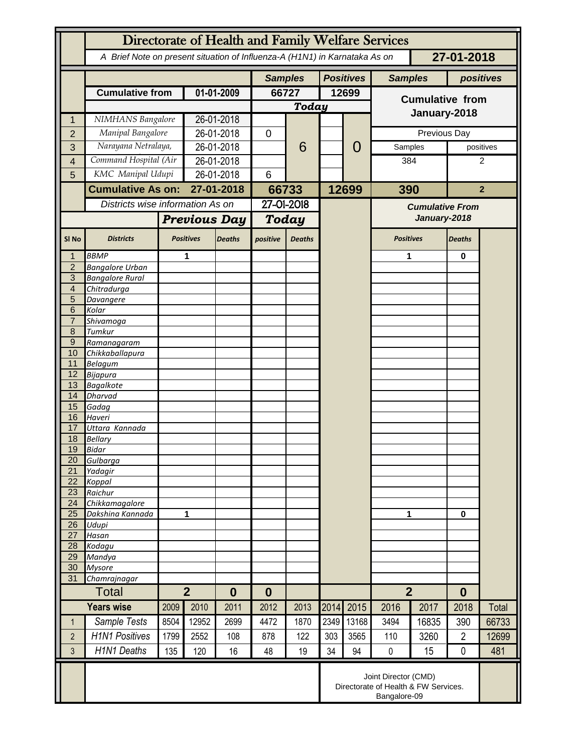|                                  | Directorate of Health and Family Welfare Services                                        |                     |                                    |               |                |               |       |                  |                                                                              |       |                |                |  |
|----------------------------------|------------------------------------------------------------------------------------------|---------------------|------------------------------------|---------------|----------------|---------------|-------|------------------|------------------------------------------------------------------------------|-------|----------------|----------------|--|
|                                  | A Brief Note on present situation of Influenza-A (H1N1) in Karnataka As on<br>27-01-2018 |                     |                                    |               |                |               |       |                  |                                                                              |       |                |                |  |
|                                  |                                                                                          |                     |                                    |               | <b>Samples</b> |               |       | <b>Positives</b> | <b>Samples</b>                                                               |       |                | positives      |  |
|                                  | <b>Cumulative from</b>                                                                   |                     | 01-01-2009                         |               | 66727          |               | 12699 |                  | <b>Cumulative from</b>                                                       |       |                |                |  |
|                                  |                                                                                          |                     |                                    |               | Today          |               |       |                  |                                                                              |       |                |                |  |
|                                  | NIMHANS Bangalore                                                                        |                     | 26-01-2018                         |               |                |               |       |                  | January-2018                                                                 |       |                |                |  |
| $\overline{2}$                   | Manipal Bangalore                                                                        |                     | 26-01-2018                         |               | 0              | 6             |       | 0                | Previous Day                                                                 |       |                |                |  |
| 3                                | Narayana Netralaya,                                                                      |                     | 26-01-2018                         |               |                |               |       |                  | Samples                                                                      |       |                | positives      |  |
| 4                                | Command Hospital (Air                                                                    |                     | 26-01-2018                         |               |                |               |       |                  | 384                                                                          |       | 2              |                |  |
| 5                                | KMC Manipal Udupi                                                                        |                     | 26-01-2018                         |               | 6              |               |       |                  |                                                                              |       |                |                |  |
|                                  | <b>Cumulative As on:</b>                                                                 |                     | 27-01-2018                         |               | 66733          |               |       | 12699            |                                                                              | 390   |                | $\overline{2}$ |  |
|                                  | Districts wise information As on                                                         |                     |                                    |               | 27-01-2018     |               |       |                  |                                                                              |       |                |                |  |
|                                  |                                                                                          |                     |                                    |               |                |               |       |                  | <b>Cumulative From</b>                                                       |       |                |                |  |
|                                  |                                                                                          | <b>Previous Day</b> |                                    | Today         |                |               |       | January-2018     |                                                                              |       |                |                |  |
| SI <sub>No</sub>                 | <b>Districts</b>                                                                         |                     | <b>Positives</b>                   | <b>Deaths</b> | positive       | <b>Deaths</b> |       |                  | <b>Positives</b>                                                             |       | <b>Deaths</b>  |                |  |
|                                  | <b>BBMP</b>                                                                              |                     | 1                                  |               |                |               |       |                  | 1                                                                            |       | $\bf{0}$       |                |  |
| $\overline{2}$                   | <b>Bangalore Urban</b>                                                                   |                     |                                    |               |                |               |       |                  |                                                                              |       |                |                |  |
| $\overline{3}$<br>$\overline{4}$ | <b>Bangalore Rural</b><br>Chitradurga                                                    |                     |                                    |               |                |               |       |                  |                                                                              |       |                |                |  |
| 5                                | Davangere                                                                                |                     |                                    |               |                |               |       |                  |                                                                              |       |                |                |  |
| 6                                | Kolar                                                                                    |                     |                                    |               |                |               |       |                  |                                                                              |       |                |                |  |
| $\overline{7}$                   | Shivamoga                                                                                |                     |                                    |               |                |               |       |                  |                                                                              |       |                |                |  |
| 8                                | Tumkur                                                                                   |                     |                                    |               |                |               |       |                  |                                                                              |       |                |                |  |
| $\overline{9}$                   | Ramanagaram                                                                              |                     |                                    |               |                |               |       |                  |                                                                              |       |                |                |  |
| 10<br>11                         | Chikkaballapura<br><b>Belagum</b>                                                        |                     |                                    |               |                |               |       |                  |                                                                              |       |                |                |  |
| 12                               | <b>Bijapura</b>                                                                          |                     |                                    |               |                |               |       |                  |                                                                              |       |                |                |  |
| 13                               | <b>Bagalkote</b>                                                                         |                     |                                    |               |                |               |       |                  |                                                                              |       |                |                |  |
| 14                               | <b>Dharvad</b>                                                                           |                     |                                    |               |                |               |       |                  |                                                                              |       |                |                |  |
| 15                               | Gadag                                                                                    |                     |                                    |               |                |               |       |                  |                                                                              |       |                |                |  |
| 16<br>17                         | Haveri<br>Uttara Kannada                                                                 |                     |                                    |               |                |               |       |                  |                                                                              |       |                |                |  |
| 18                               | <b>Bellary</b>                                                                           |                     |                                    |               |                |               |       |                  |                                                                              |       |                |                |  |
| 19                               | <b>Bidar</b>                                                                             |                     |                                    |               |                |               |       |                  |                                                                              |       |                |                |  |
| 20                               | Gulbarga                                                                                 |                     |                                    |               |                |               |       |                  |                                                                              |       |                |                |  |
| 21                               | Yadagir                                                                                  |                     |                                    |               |                |               |       |                  |                                                                              |       |                |                |  |
| 22<br>23                         | Koppal<br>Raichur                                                                        |                     |                                    |               |                |               |       |                  |                                                                              |       |                |                |  |
| 24                               | Chikkamagalore                                                                           |                     |                                    |               |                |               |       |                  |                                                                              |       |                |                |  |
| 25                               | Dakshina Kannada                                                                         | 1                   |                                    |               |                |               |       |                  | 1                                                                            |       | $\mathbf 0$    |                |  |
| 26                               | Udupi                                                                                    |                     |                                    |               |                |               |       |                  |                                                                              |       |                |                |  |
| 27                               | Hasan                                                                                    |                     |                                    |               |                |               |       |                  |                                                                              |       |                |                |  |
| 28<br>29                         | Kodagu<br>Mandya                                                                         |                     |                                    |               |                |               |       |                  |                                                                              |       |                |                |  |
| 30                               | <b>Mysore</b>                                                                            |                     |                                    |               |                |               |       |                  |                                                                              |       |                |                |  |
| 31                               | Chamrajnagar                                                                             |                     |                                    |               |                |               |       |                  |                                                                              |       |                |                |  |
|                                  | <b>Total</b>                                                                             |                     | $\overline{2}$<br>$\boldsymbol{0}$ |               | $\bf{0}$       |               |       |                  | $\overline{2}$                                                               |       | $\bf{0}$       |                |  |
|                                  | <b>Years wise</b>                                                                        | 2009                | 2010                               | 2011          | 2012           | 2013          | 2014  | 2015             | 2016                                                                         | 2017  | 2018           | Total          |  |
| 1                                | Sample Tests                                                                             | 8504                | 12952                              | 2699          | 4472           | 1870          | 2349  | 13168            | 3494                                                                         | 16835 | 390            | 66733          |  |
| $\overline{2}$                   | <b>H1N1 Positives</b>                                                                    | 1799                | 2552                               | 108           | 878            | 122           | 303   | 3565             | 110                                                                          | 3260  | $\overline{2}$ | 12699          |  |
| 3                                | <b>H1N1 Deaths</b>                                                                       | 135                 | 120                                | 16            | 48             | 19            | 34    | 94               | $\pmb{0}$                                                                    | 15    | $\mathbf 0$    | 481            |  |
|                                  |                                                                                          |                     |                                    |               |                |               |       |                  | Joint Director (CMD)<br>Directorate of Health & FW Services.<br>Bangalore-09 |       |                |                |  |